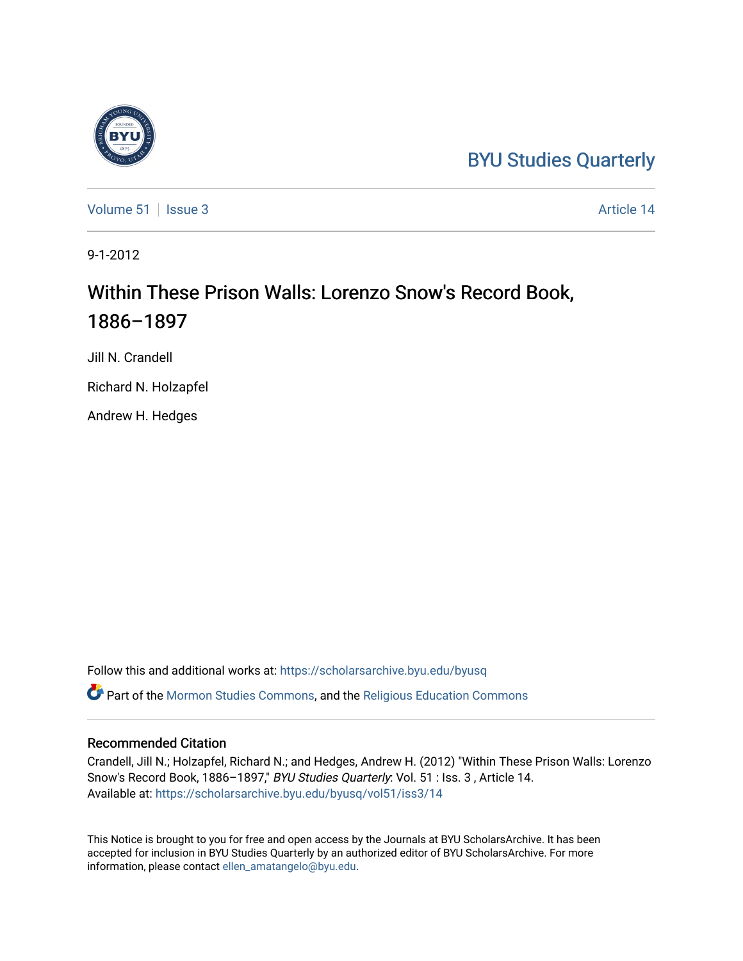## [BYU Studies Quarterly](https://scholarsarchive.byu.edu/byusq)

[Volume 51](https://scholarsarchive.byu.edu/byusq/vol51) | [Issue 3](https://scholarsarchive.byu.edu/byusq/vol51/iss3) Article 14

9-1-2012

## Within These Prison Walls: Lorenzo Snow's Record Book, 1886–1897

Jill N. Crandell

Richard N. Holzapfel

Andrew H. Hedges

Follow this and additional works at: [https://scholarsarchive.byu.edu/byusq](https://scholarsarchive.byu.edu/byusq?utm_source=scholarsarchive.byu.edu%2Fbyusq%2Fvol51%2Fiss3%2F14&utm_medium=PDF&utm_campaign=PDFCoverPages)  Part of the [Mormon Studies Commons](http://network.bepress.com/hgg/discipline/1360?utm_source=scholarsarchive.byu.edu%2Fbyusq%2Fvol51%2Fiss3%2F14&utm_medium=PDF&utm_campaign=PDFCoverPages), and the [Religious Education Commons](http://network.bepress.com/hgg/discipline/1414?utm_source=scholarsarchive.byu.edu%2Fbyusq%2Fvol51%2Fiss3%2F14&utm_medium=PDF&utm_campaign=PDFCoverPages) 

## Recommended Citation

Crandell, Jill N.; Holzapfel, Richard N.; and Hedges, Andrew H. (2012) "Within These Prison Walls: Lorenzo Snow's Record Book, 1886–1897," BYU Studies Quarterly: Vol. 51 : Iss. 3 , Article 14. Available at: [https://scholarsarchive.byu.edu/byusq/vol51/iss3/14](https://scholarsarchive.byu.edu/byusq/vol51/iss3/14?utm_source=scholarsarchive.byu.edu%2Fbyusq%2Fvol51%2Fiss3%2F14&utm_medium=PDF&utm_campaign=PDFCoverPages) 

This Notice is brought to you for free and open access by the Journals at BYU ScholarsArchive. It has been accepted for inclusion in BYU Studies Quarterly by an authorized editor of BYU ScholarsArchive. For more information, please contact [ellen\\_amatangelo@byu.edu.](mailto:ellen_amatangelo@byu.edu)